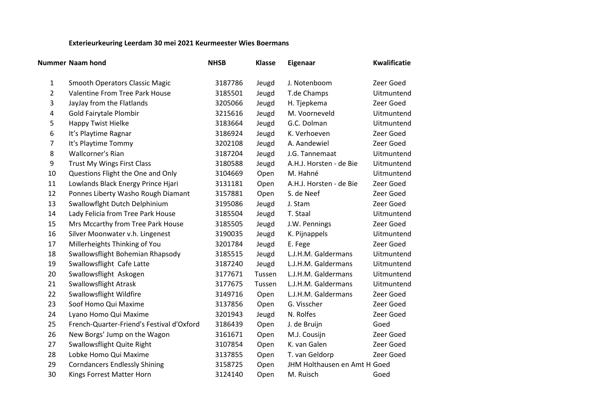## **Exterieurkeuring Leerdam 30 mei 2021 Keurmeester Wies Boermans**

|    | <b>Nummer Naam hond</b>                   | <b>NHSB</b> | <b>Klasse</b> | Eigenaar                     | <b>Kwalificatie</b> |
|----|-------------------------------------------|-------------|---------------|------------------------------|---------------------|
| 1  | <b>Smooth Operators Classic Magic</b>     | 3187786     | Jeugd         | J. Notenboom                 | Zeer Goed           |
| 2  | Valentine From Tree Park House            | 3185501     | Jeugd         | T.de Champs                  | Uitmuntend          |
| 3  | JayJay from the Flatlands                 | 3205066     | Jeugd         | H. Tjepkema                  | Zeer Goed           |
| 4  | Gold Fairytale Plombir                    | 3215616     | Jeugd         | M. Voorneveld                | Uitmuntend          |
| 5  | <b>Happy Twist Hielke</b>                 | 3183664     | Jeugd         | G.C. Dolman                  | Uitmuntend          |
| 6  | It's Playtime Ragnar                      | 3186924     | Jeugd         | K. Verhoeven                 | Zeer Goed           |
| 7  | It's Playtime Tommy                       | 3202108     | Jeugd         | A. Aandewiel                 | Zeer Goed           |
| 8  | Wallcorner's Rian                         | 3187204     | Jeugd         | J.G. Tannemaat               | Uitmuntend          |
| 9  | Trust My Wings First Class                | 3180588     | Jeugd         | A.H.J. Horsten - de Bie      | Uitmuntend          |
| 10 | Questions Flight the One and Only         | 3104669     | Open          | M. Hahné                     | Uitmuntend          |
| 11 | Lowlands Black Energy Prince Hjari        | 3131181     | Open          | A.H.J. Horsten - de Bie      | Zeer Goed           |
| 12 | Ponnes Liberty Washo Rough Diamant        | 3157881     | Open          | S. de Neef                   | Zeer Goed           |
| 13 | Swallowflght Dutch Delphinium             | 3195086     | Jeugd         | J. Stam                      | Zeer Goed           |
| 14 | Lady Felicia from Tree Park House         | 3185504     | Jeugd         | T. Staal                     | Uitmuntend          |
| 15 | Mrs Mccarthy from Tree Park House         | 3185505     | Jeugd         | J.W. Pennings                | Zeer Goed           |
| 16 | Silver Moonwater v.h. Lingenest           | 3190035     | Jeugd         | K. Pijnappels                | Uitmuntend          |
| 17 | Millerheights Thinking of You             | 3201784     | Jeugd         | E. Fege                      | Zeer Goed           |
| 18 | Swallowsflight Bohemian Rhapsody          | 3185515     | Jeugd         | L.J.H.M. Galdermans          | Uitmuntend          |
| 19 | Swallowsflight Cafe Latte                 | 3187240     | Jeugd         | L.J.H.M. Galdermans          | Uitmuntend          |
| 20 | Swallowsflight Askogen                    | 3177671     | Tussen        | L.J.H.M. Galdermans          | Uitmuntend          |
| 21 | <b>Swallowsflight Atrask</b>              | 3177675     | Tussen        | L.J.H.M. Galdermans          | Uitmuntend          |
| 22 | <b>Swallowsflight Wildfire</b>            | 3149716     | Open          | L.J.H.M. Galdermans          | Zeer Goed           |
| 23 | Soof Homo Qui Maxime                      | 3137856     | Open          | G. Visscher                  | Zeer Goed           |
| 24 | Lyano Homo Qui Maxime                     | 3201943     | Jeugd         | N. Rolfes                    | Zeer Goed           |
| 25 | French-Quarter-Friend's Festival d'Oxford | 3186439     | Open          | J. de Bruijn                 | Goed                |
| 26 | New Borgs' Jump on the Wagon              | 3161671     | Open          | M.J. Cousijn                 | Zeer Goed           |
| 27 | Swallowsflight Quite Right                | 3107854     | Open          | K. van Galen                 | Zeer Goed           |
| 28 | Lobke Homo Qui Maxime                     | 3137855     | Open          | T. van Geldorp               | Zeer Goed           |
| 29 | <b>Corndancers Endlessly Shining</b>      | 3158725     | Open          | JHM Holthausen en Amt H Goed |                     |
| 30 | Kings Forrest Matter Horn                 | 3124140     | Open          | M. Ruisch                    | Goed                |